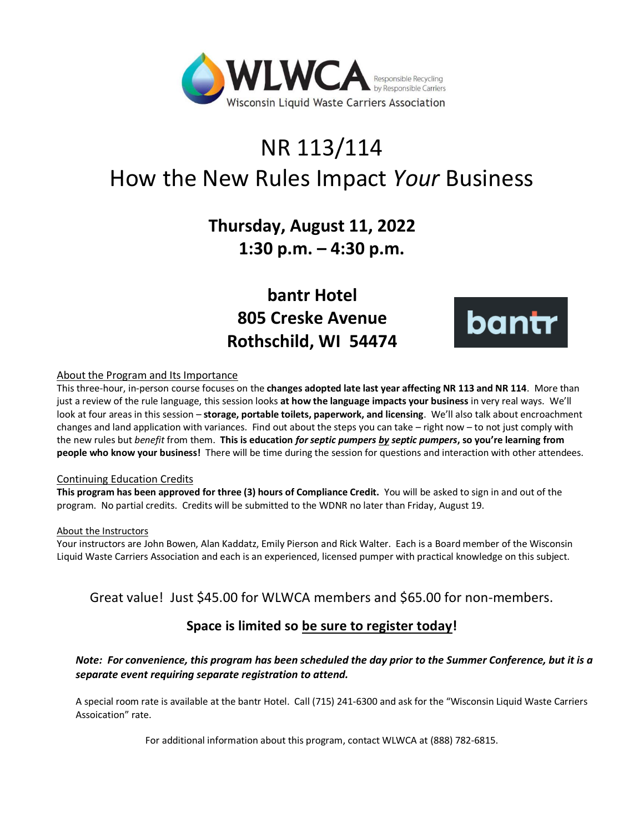

# NR 113/114 How the New Rules Impact *Your* Business

# **Thursday, August 11, 2022 1:30 p.m. – 4:30 p.m.**

**bantr Hotel 805 Creske Avenue Rothschild, WI 54474**



#### About the Program and Its Importance

This three-hour, in-person course focuses on the **changes adopted late last year affecting NR 113 and NR 114**. More than just a review of the rule language, this session looks **at how the language impacts your business** in very real ways. We'll look at four areas in this session – **storage, portable toilets, paperwork, and licensing**. We'll also talk about encroachment changes and land application with variances. Find out about the steps you can take – right now – to not just comply with the new rules but *benefit* from them. **This is education** *for septic pumpers by septic pumpers***, so you're learning from people who know your business!** There will be time during the session for questions and interaction with other attendees.

#### Continuing Education Credits

**This program has been approved for three (3) hours of Compliance Credit.** You will be asked to sign in and out of the program. No partial credits. Credits will be submitted to the WDNR no later than Friday, August 19.

#### About the Instructors

Your instructors are John Bowen, Alan Kaddatz, Emily Pierson and Rick Walter. Each is a Board member of the Wisconsin Liquid Waste Carriers Association and each is an experienced, licensed pumper with practical knowledge on this subject.

## Great value! Just \$45.00 for WLWCA members and \$65.00 for non-members.

## **Space is limited so be sure to register today!**

### *Note: For convenience, this program has been scheduled the day prior to the Summer Conference, but it is a separate event requiring separate registration to attend.*

A special room rate is available at the bantr Hotel. Call (715) 241-6300 and ask for the "Wisconsin Liquid Waste Carriers Assoication" rate.

For additional information about this program, contact WLWCA at (888) 782-6815.